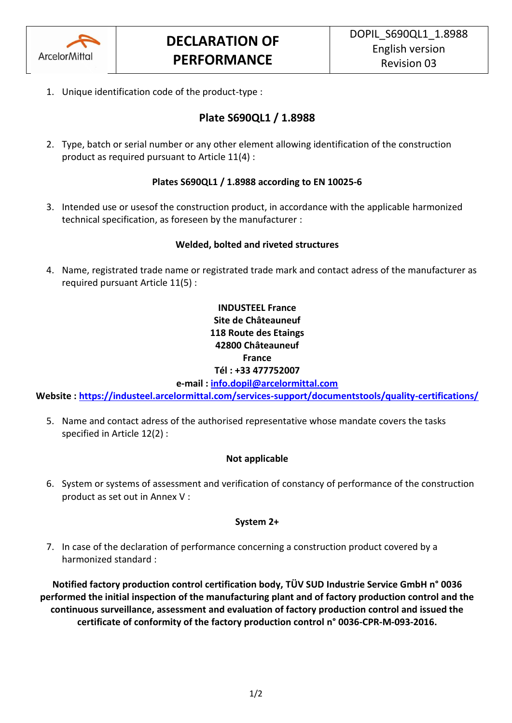

1. Unique identification code of the product-type :

# **Plate S690QL1 / 1.8988**

2. Type, batch or serial number or any other element allowing identification of the construction product as required pursuant to Article 11(4) :

### **Plates S690QL1 / 1.8988 according to EN 10025-6**

3. Intended use or usesof the construction product, in accordance with the applicable harmonized technical specification, as foreseen by the manufacturer :

### **Welded, bolted and riveted structures**

4. Name, registrated trade name or registrated trade mark and contact adress of the manufacturer as required pursuant Article 11(5) :

## **INDUSTEEL France Site de Châteauneuf 118 Route des Etaings 42800 Châteauneuf France Tél : +33 477752007**

**e-mail : [info.dopil@arcelormittal.com](mailto:info.dopil@arcelormittal.com)**

**Website :<https://industeel.arcelormittal.com/services-support/documentstools/quality-certifications/>**

5. Name and contact adress of the authorised representative whose mandate covers the tasks specified in Article 12(2) :

### **Not applicable**

6. System or systems of assessment and verification of constancy of performance of the construction product as set out in Annex V :

#### **System 2+**

7. In case of the declaration of performance concerning a construction product covered by a harmonized standard :

**Notified factory production control certification body, TÜV SUD Industrie Service GmbH n° 0036 performed the initial inspection of the manufacturing plant and of factory production control and the continuous surveillance, assessment and evaluation of factory production control and issued the certificate of conformity of the factory production control n° 0036-CPR-M-093-2016.**